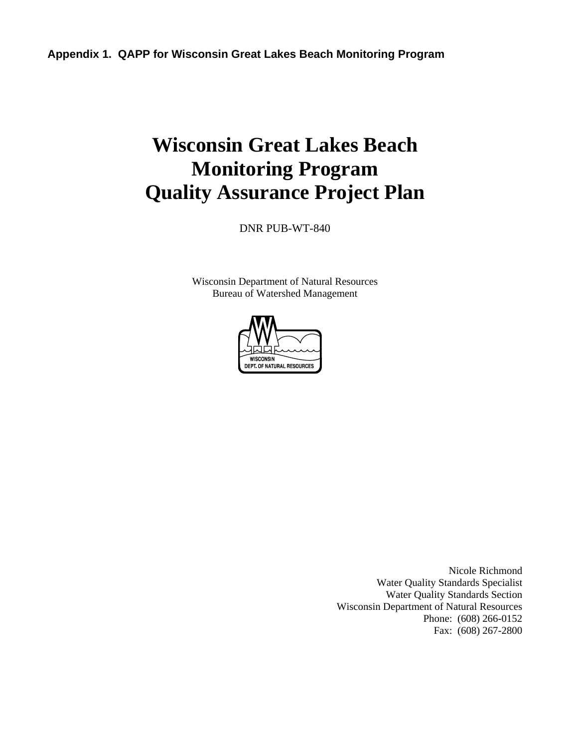# **Wisconsin Great Lakes Beach Monitoring Program Quality Assurance Project Plan**

DNR PUB-WT-840

Wisconsin Department of Natural Resources Bureau of Watershed Management



Nicole Richmond Water Quality Standards Specialist Water Quality Standards Section Wisconsin Department of Natural Resources Phone: (608) 266-0152 Fax: (608) 267-2800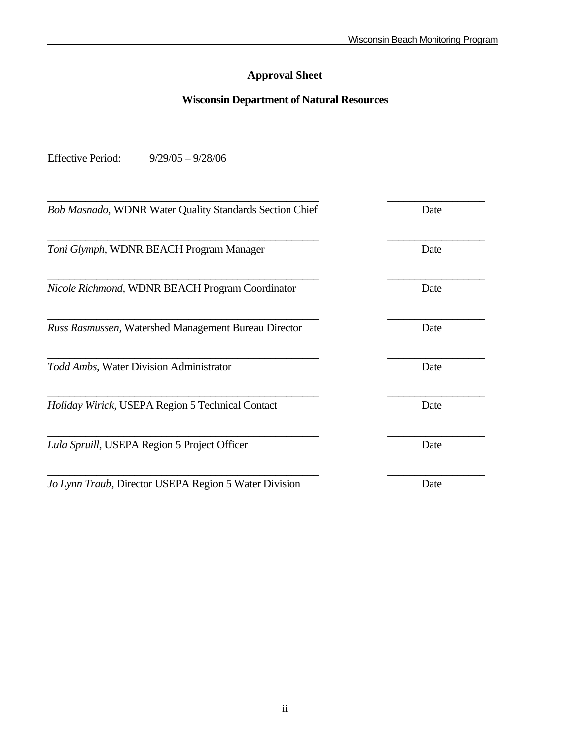# **Approval Sheet**

# **Wisconsin Department of Natural Resources**

Effective Period: 9/29/05 – 9/28/06

| <b>Bob Masnado, WDNR Water Quality Standards Section Chief</b> | Date |
|----------------------------------------------------------------|------|
| Toni Glymph, WDNR BEACH Program Manager                        | Date |
|                                                                |      |
| Nicole Richmond, WDNR BEACH Program Coordinator                | Date |
| Russ Rasmussen, Watershed Management Bureau Director           | Date |
| Todd Ambs, Water Division Administrator                        | Date |
| Holiday Wirick, USEPA Region 5 Technical Contact               | Date |
| Lula Spruill, USEPA Region 5 Project Officer                   | Date |
| Jo Lynn Traub, Director USEPA Region 5 Water Division          | Date |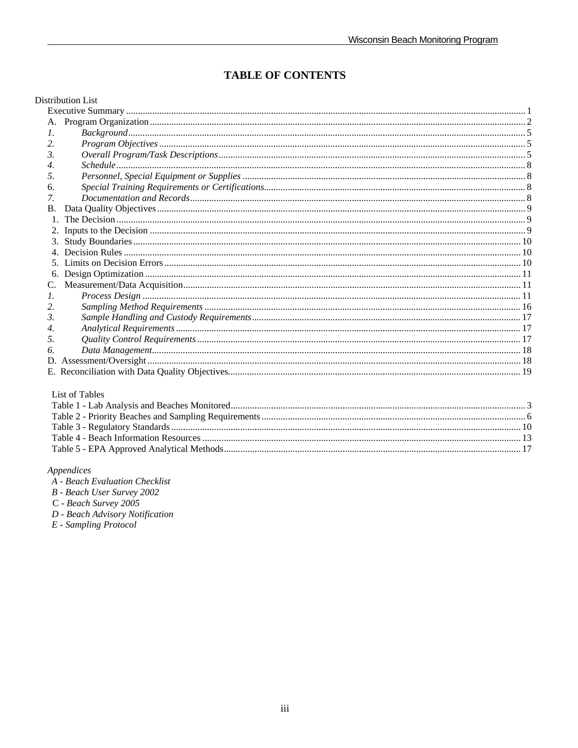# **TABLE OF CONTENTS**

#### Distribution List

| A.            |  |
|---------------|--|
| $\mathcal{L}$ |  |
| 2.            |  |
| 3.            |  |
| 4.            |  |
| 5.            |  |
| 6.            |  |
| 7.            |  |
| <b>B.</b>     |  |
| $1_{-}$       |  |
|               |  |
| 3.            |  |
|               |  |
|               |  |
| 6.            |  |
| C.            |  |
| 1.            |  |
| 2.            |  |
| 3.            |  |
| 4.            |  |
| .5.           |  |
| 6.            |  |
|               |  |
|               |  |

#### List of Tables

#### $\label{pro:appendices} A$

B - Beach User Survey 2002

C - Beach Survey 2005

D - Beach Advisory Notification

 $E$  - Sampling Protocol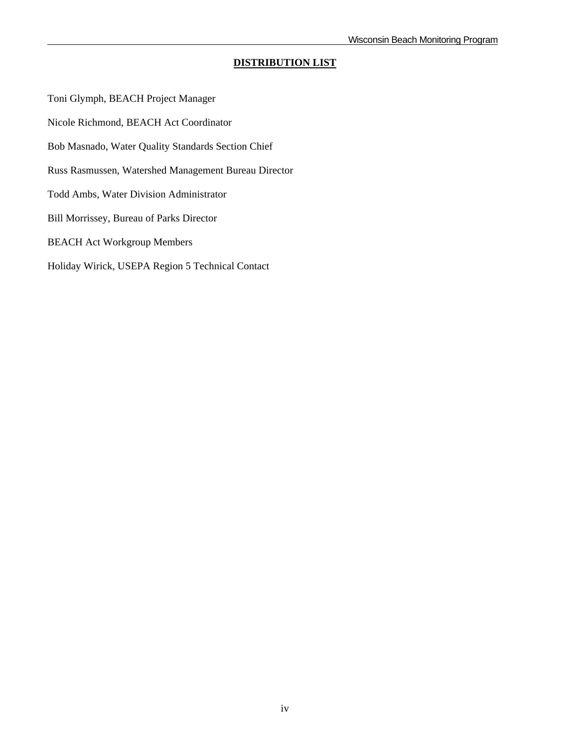## **DISTRIBUTION LIST**

Toni Glymph, BEACH Project Manager Nicole Richmond, BEACH Act Coordinator Bob Masnado, Water Quality Standards Section Chief Russ Rasmussen, Watershed Management Bureau Director Todd Ambs, Water Division Administrator Bill Morrissey, Bureau of Parks Director BEACH Act Workgroup Members Holiday Wirick, USEPA Region 5 Technical Contact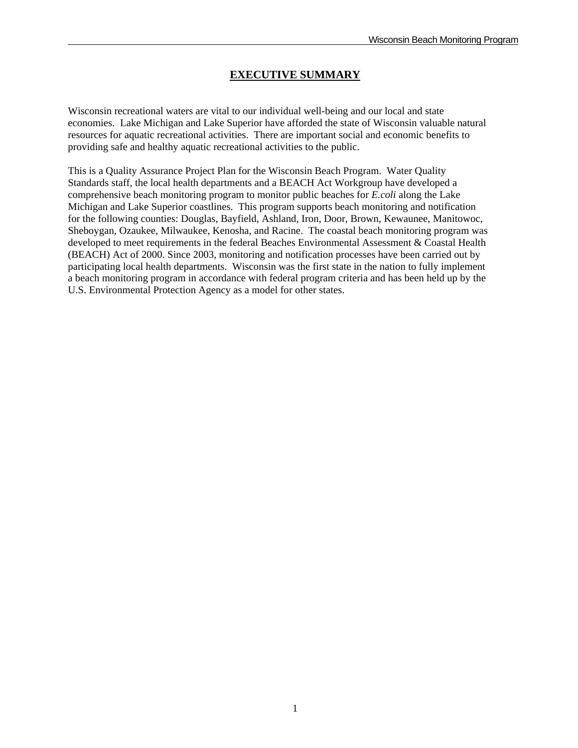# **EXECUTIVE SUMMARY**

Wisconsin recreational waters are vital to our individual well-being and our local and state economies. Lake Michigan and Lake Superior have afforded the state of Wisconsin valuable natural resources for aquatic recreational activities. There are important social and economic benefits to providing safe and healthy aquatic recreational activities to the public.

This is a Quality Assurance Project Plan for the Wisconsin Beach Program. Water Quality Standards staff, the local health departments and a BEACH Act Workgroup have developed a comprehensive beach monitoring program to monitor public beaches for *E.coli* along the Lake Michigan and Lake Superior coastlines. This program supports beach monitoring and notification for the following counties: Douglas, Bayfield, Ashland, Iron, Door, Brown, Kewaunee, Manitowoc, Sheboygan, Ozaukee, Milwaukee, Kenosha, and Racine. The coastal beach monitoring program was developed to meet requirements in the federal Beaches Environmental Assessment & Coastal Health (BEACH) Act of 2000. Since 2003, monitoring and notification processes have been carried out by participating local health departments. Wisconsin was the first state in the nation to fully implement a beach monitoring program in accordance with federal program criteria and has been held up by the U.S. Environmental Protection Agency as a model for other states.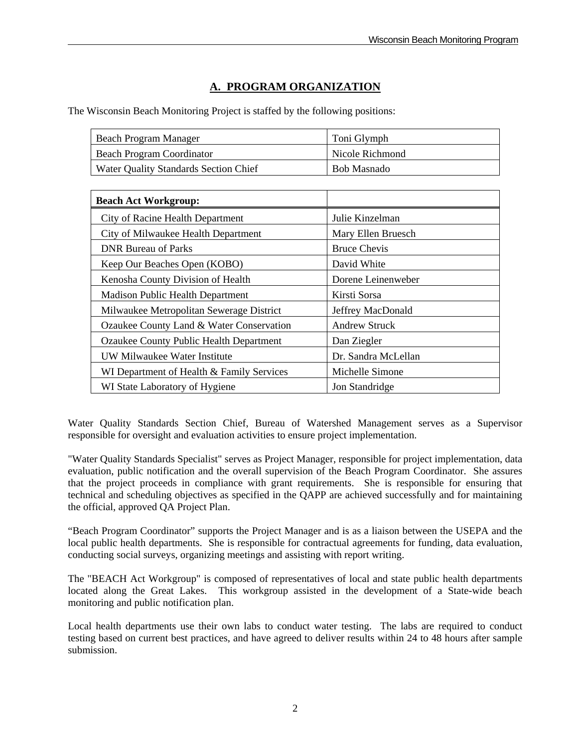# **A. PROGRAM ORGANIZATION**

The Wisconsin Beach Monitoring Project is staffed by the following positions:

| Beach Program Manager                 | Toni Glymph     |
|---------------------------------------|-----------------|
| Beach Program Coordinator             | Nicole Richmond |
| Water Quality Standards Section Chief | Bob Masnado     |

| <b>Beach Act Workgroup:</b>               |                      |
|-------------------------------------------|----------------------|
| City of Racine Health Department          | Julie Kinzelman      |
| City of Milwaukee Health Department       | Mary Ellen Bruesch   |
| <b>DNR Bureau of Parks</b>                | <b>Bruce Chevis</b>  |
| Keep Our Beaches Open (KOBO)              | David White          |
| Kenosha County Division of Health         | Dorene Leinenweber   |
| <b>Madison Public Health Department</b>   | Kirsti Sorsa         |
| Milwaukee Metropolitan Sewerage District  | Jeffrey MacDonald    |
| Ozaukee County Land & Water Conservation  | <b>Andrew Struck</b> |
| Ozaukee County Public Health Department   | Dan Ziegler          |
| UW Milwaukee Water Institute              | Dr. Sandra McLellan  |
| WI Department of Health & Family Services | Michelle Simone      |
| WI State Laboratory of Hygiene            | Jon Standridge       |

Water Quality Standards Section Chief, Bureau of Watershed Management serves as a Supervisor responsible for oversight and evaluation activities to ensure project implementation.

"Water Quality Standards Specialist" serves as Project Manager, responsible for project implementation, data evaluation, public notification and the overall supervision of the Beach Program Coordinator. She assures that the project proceeds in compliance with grant requirements. She is responsible for ensuring that technical and scheduling objectives as specified in the QAPP are achieved successfully and for maintaining the official, approved QA Project Plan.

"Beach Program Coordinator" supports the Project Manager and is as a liaison between the USEPA and the local public health departments. She is responsible for contractual agreements for funding, data evaluation, conducting social surveys, organizing meetings and assisting with report writing.

The "BEACH Act Workgroup" is composed of representatives of local and state public health departments located along the Great Lakes. This workgroup assisted in the development of a State-wide beach monitoring and public notification plan.

Local health departments use their own labs to conduct water testing. The labs are required to conduct testing based on current best practices, and have agreed to deliver results within 24 to 48 hours after sample submission.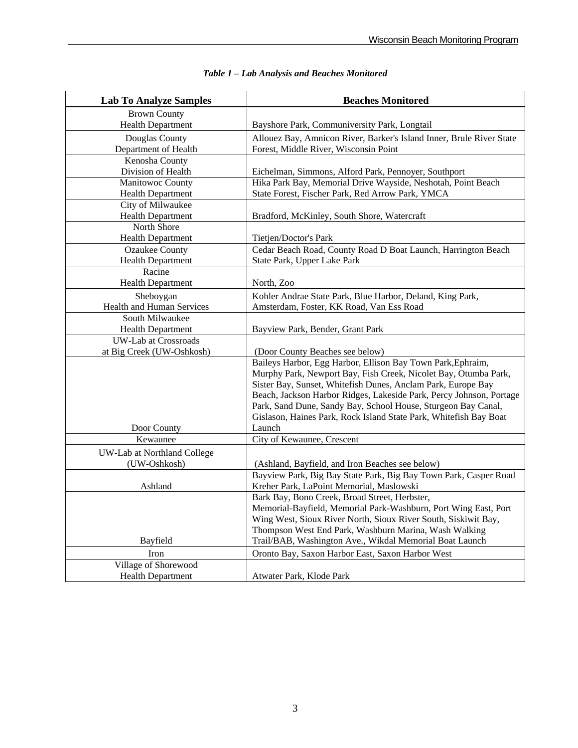| <b>Lab To Analyze Samples</b> | <b>Beaches Monitored</b>                                                                                                        |  |
|-------------------------------|---------------------------------------------------------------------------------------------------------------------------------|--|
| <b>Brown County</b>           |                                                                                                                                 |  |
| <b>Health Department</b>      | Bayshore Park, Communiversity Park, Longtail                                                                                    |  |
| Douglas County                | Allouez Bay, Amnicon River, Barker's Island Inner, Brule River State                                                            |  |
| Department of Health          | Forest, Middle River, Wisconsin Point                                                                                           |  |
| Kenosha County                |                                                                                                                                 |  |
| Division of Health            | Eichelman, Simmons, Alford Park, Pennoyer, Southport                                                                            |  |
| Manitowoc County              | Hika Park Bay, Memorial Drive Wayside, Neshotah, Point Beach                                                                    |  |
| Health Department             | State Forest, Fischer Park, Red Arrow Park, YMCA                                                                                |  |
| City of Milwaukee             |                                                                                                                                 |  |
| <b>Health Department</b>      | Bradford, McKinley, South Shore, Watercraft                                                                                     |  |
| North Shore                   |                                                                                                                                 |  |
| <b>Health Department</b>      | Tietjen/Doctor's Park                                                                                                           |  |
| <b>Ozaukee County</b>         | Cedar Beach Road, County Road D Boat Launch, Harrington Beach                                                                   |  |
| Health Department             | State Park, Upper Lake Park                                                                                                     |  |
| Racine                        |                                                                                                                                 |  |
| <b>Health Department</b>      | North, Zoo                                                                                                                      |  |
| Sheboygan                     | Kohler Andrae State Park, Blue Harbor, Deland, King Park,                                                                       |  |
| Health and Human Services     | Amsterdam, Foster, KK Road, Van Ess Road                                                                                        |  |
| South Milwaukee               |                                                                                                                                 |  |
| <b>Health Department</b>      | Bayview Park, Bender, Grant Park                                                                                                |  |
| <b>UW-Lab at Crossroads</b>   |                                                                                                                                 |  |
| at Big Creek (UW-Oshkosh)     | (Door County Beaches see below)                                                                                                 |  |
|                               | Baileys Harbor, Egg Harbor, Ellison Bay Town Park, Ephraim,                                                                     |  |
|                               | Murphy Park, Newport Bay, Fish Creek, Nicolet Bay, Otumba Park,<br>Sister Bay, Sunset, Whitefish Dunes, Anclam Park, Europe Bay |  |
|                               | Beach, Jackson Harbor Ridges, Lakeside Park, Percy Johnson, Portage                                                             |  |
|                               | Park, Sand Dune, Sandy Bay, School House, Sturgeon Bay Canal,                                                                   |  |
|                               | Gislason, Haines Park, Rock Island State Park, Whitefish Bay Boat                                                               |  |
| Door County                   | Launch                                                                                                                          |  |
| Kewaunee                      | City of Kewaunee, Crescent                                                                                                      |  |
|                               |                                                                                                                                 |  |
| UW-Lab at Northland College   |                                                                                                                                 |  |
| (UW-Oshkosh)                  | (Ashland, Bayfield, and Iron Beaches see below)<br>Bayview Park, Big Bay State Park, Big Bay Town Park, Casper Road             |  |
| Ashland                       | Kreher Park, LaPoint Memorial, Maslowski                                                                                        |  |
|                               | Bark Bay, Bono Creek, Broad Street, Herbster,                                                                                   |  |
|                               | Memorial-Bayfield, Memorial Park-Washburn, Port Wing East, Port                                                                 |  |
|                               | Wing West, Sioux River North, Sioux River South, Siskiwit Bay,                                                                  |  |
|                               | Thompson West End Park, Washburn Marina, Wash Walking                                                                           |  |
| Bayfield                      | Trail/BAB, Washington Ave., Wikdal Memorial Boat Launch                                                                         |  |
| Iron                          | Oronto Bay, Saxon Harbor East, Saxon Harbor West                                                                                |  |
| Village of Shorewood          |                                                                                                                                 |  |
| <b>Health Department</b>      | Atwater Park, Klode Park                                                                                                        |  |

|  | Table 1 - Lab Analysis and Beaches Monitored |
|--|----------------------------------------------|
|--|----------------------------------------------|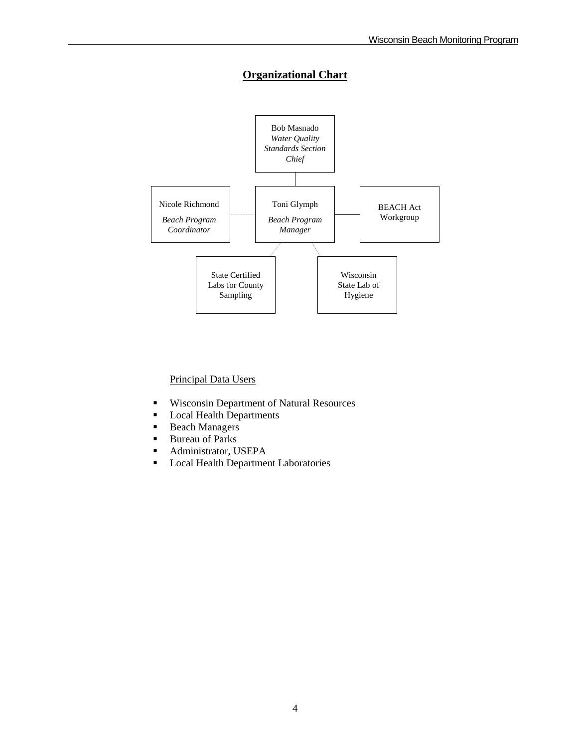# **Organizational Chart**



## Principal Data Users

- Wisconsin Department of Natural Resources
- **Local Health Departments**
- Beach Managers
- Bureau of Parks
- Administrator, USEPA
- **Local Health Department Laboratories**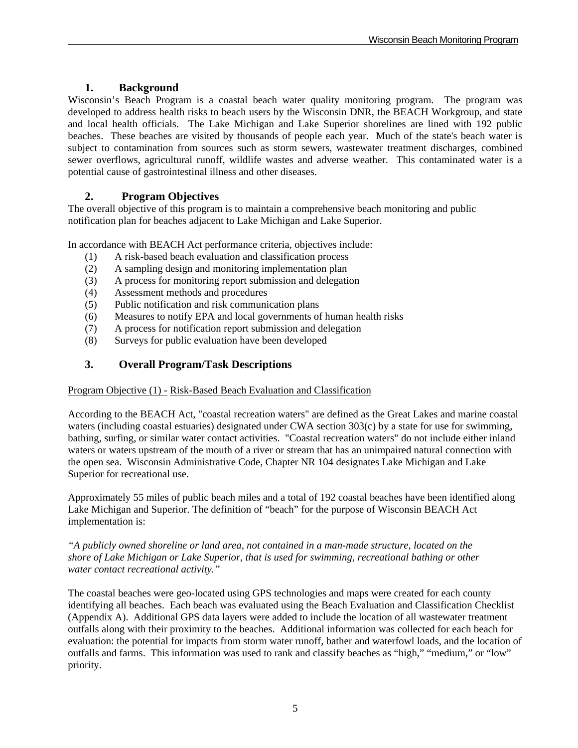# **1. Background**

Wisconsin's Beach Program is a coastal beach water quality monitoring program. The program was developed to address health risks to beach users by the Wisconsin DNR, the BEACH Workgroup, and state and local health officials. The Lake Michigan and Lake Superior shorelines are lined with 192 public beaches. These beaches are visited by thousands of people each year. Much of the state's beach water is subject to contamination from sources such as storm sewers, wastewater treatment discharges, combined sewer overflows, agricultural runoff, wildlife wastes and adverse weather. This contaminated water is a potential cause of gastrointestinal illness and other diseases.

# **2. Program Objectives**

The overall objective of this program is to maintain a comprehensive beach monitoring and public notification plan for beaches adjacent to Lake Michigan and Lake Superior.

In accordance with BEACH Act performance criteria, objectives include:

- (1) A risk-based beach evaluation and classification process
- (2) A sampling design and monitoring implementation plan
- (3) A process for monitoring report submission and delegation
- (4) Assessment methods and procedures
- (5) Public notification and risk communication plans
- (6) Measures to notify EPA and local governments of human health risks
- (7) A process for notification report submission and delegation
- (8) Surveys for public evaluation have been developed

# **3. Overall Program/Task Descriptions**

#### Program Objective (1) - Risk-Based Beach Evaluation and Classification

According to the BEACH Act, "coastal recreation waters" are defined as the Great Lakes and marine coastal waters (including coastal estuaries) designated under CWA section 303(c) by a state for use for swimming, bathing, surfing, or similar water contact activities. "Coastal recreation waters" do not include either inland waters or waters upstream of the mouth of a river or stream that has an unimpaired natural connection with the open sea. Wisconsin Administrative Code, Chapter NR 104 designates Lake Michigan and Lake Superior for recreational use.

Approximately 55 miles of public beach miles and a total of 192 coastal beaches have been identified along Lake Michigan and Superior. The definition of "beach" for the purpose of Wisconsin BEACH Act implementation is:

*"A publicly owned shoreline or land area, not contained in a man-made structure, located on the shore of Lake Michigan or Lake Superior, that is used for swimming, recreational bathing or other water contact recreational activity."* 

The coastal beaches were geo-located using GPS technologies and maps were created for each county identifying all beaches. Each beach was evaluated using the Beach Evaluation and Classification Checklist (Appendix A). Additional GPS data layers were added to include the location of all wastewater treatment outfalls along with their proximity to the beaches. Additional information was collected for each beach for evaluation: the potential for impacts from storm water runoff, bather and waterfowl loads, and the location of outfalls and farms. This information was used to rank and classify beaches as "high," "medium," or "low" priority.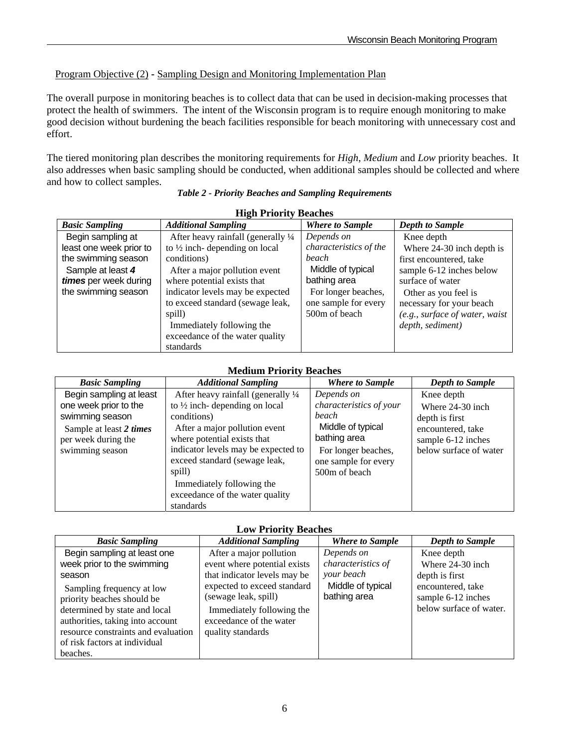# Program Objective (2) **-** Sampling Design and Monitoring Implementation Plan

The overall purpose in monitoring beaches is to collect data that can be used in decision-making processes that protect the health of swimmers. The intent of the Wisconsin program is to require enough monitoring to make good decision without burdening the beach facilities responsible for beach monitoring with unnecessary cost and effort.

The tiered monitoring plan describes the monitoring requirements for *High*, *Medium* and *Low* priority beaches. It also addresses when basic sampling should be conducted, when additional samples should be collected and where and how to collect samples.

| <b>High Priority Beaches</b> |                                                 |                        |                                |
|------------------------------|-------------------------------------------------|------------------------|--------------------------------|
| <b>Basic Sampling</b>        | <b>Additional Sampling</b>                      | <b>Where to Sample</b> | <b>Depth to Sample</b>         |
| Begin sampling at            | After heavy rainfall (generally $\frac{1}{4}$ ) | Depends on             | Knee depth                     |
| least one week prior to      | to $\frac{1}{2}$ inch-depending on local        | characteristics of the | Where 24-30 inch depth is      |
| the swimming season          | conditions)                                     | <b>beach</b>           | first encountered, take        |
| Sample at least 4            | After a major pollution event                   | Middle of typical      | sample 6-12 inches below       |
| times per week during        | where potential exists that                     | bathing area           | surface of water               |
| the swimming season          | indicator levels may be expected                | For longer beaches,    | Other as you feel is           |
|                              | to exceed standard (sewage leak,                | one sample for every   | necessary for your beach       |
|                              | spill)                                          | 500m of beach          | (e.g., surface of water, waist |
|                              | Immediately following the                       |                        | depth, sediment)               |
|                              | exceedance of the water quality                 |                        |                                |
|                              | standards                                       |                        |                                |

## **Medium Priority Beaches**

| <b>Trivalished in the second and the second second in the second second in the second second in the second second </b> |                                          |                         |                        |
|------------------------------------------------------------------------------------------------------------------------|------------------------------------------|-------------------------|------------------------|
| <b>Basic Sampling</b>                                                                                                  | <b>Additional Sampling</b>               | <b>Where to Sample</b>  | <b>Depth to Sample</b> |
| Begin sampling at least                                                                                                | After heavy rainfall (generally 1/4)     | Depends on              | Knee depth             |
| one week prior to the                                                                                                  | to $\frac{1}{2}$ inch-depending on local | characteristics of your | Where 24-30 inch       |
| swimming season                                                                                                        | conditions)                              | beach                   | depth is first         |
| Sample at least 2 times                                                                                                | After a major pollution event            | Middle of typical       | encountered, take      |
| per week during the                                                                                                    | where potential exists that              | bathing area            | sample 6-12 inches     |
| swimming season                                                                                                        | indicator levels may be expected to      | For longer beaches,     | below surface of water |
|                                                                                                                        | exceed standard (sewage leak,            | one sample for every    |                        |
|                                                                                                                        | spill)                                   | 500m of beach           |                        |
|                                                                                                                        | Immediately following the                |                         |                        |
|                                                                                                                        | exceedance of the water quality          |                         |                        |
|                                                                                                                        | standards                                |                         |                        |

## **Low Priority Beaches**

| <b>Basic Sampling</b>                                                                                                                                                                                | <b>Additional Sampling</b>                                                                                                       | <b>Where to Sample</b>            | <b>Depth to Sample</b>                                             |
|------------------------------------------------------------------------------------------------------------------------------------------------------------------------------------------------------|----------------------------------------------------------------------------------------------------------------------------------|-----------------------------------|--------------------------------------------------------------------|
| Begin sampling at least one                                                                                                                                                                          | After a major pollution                                                                                                          | Depends on                        | Knee depth                                                         |
| week prior to the swimming                                                                                                                                                                           | event where potential exists                                                                                                     | characteristics of                | Where 24-30 inch                                                   |
| season                                                                                                                                                                                               | that indicator levels may be                                                                                                     | your beach                        | depth is first                                                     |
| Sampling frequency at low<br>priority beaches should be<br>determined by state and local<br>authorities, taking into account<br>resource constraints and evaluation<br>of risk factors at individual | expected to exceed standard<br>(sewage leak, spill)<br>Immediately following the<br>exceedance of the water<br>quality standards | Middle of typical<br>bathing area | encountered, take<br>sample 6-12 inches<br>below surface of water. |
| beaches.                                                                                                                                                                                             |                                                                                                                                  |                                   |                                                                    |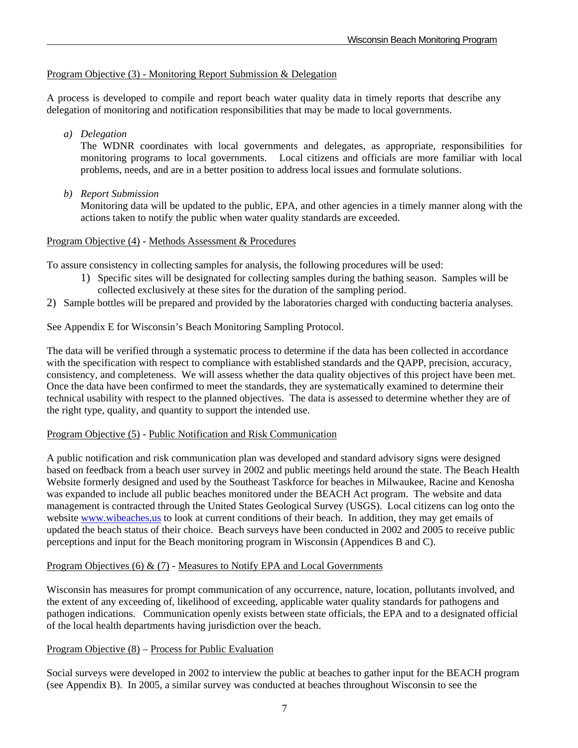## Program Objective (3) *-* Monitoring Report Submission & Delegation

A process is developed to compile and report beach water quality data in timely reports that describe any delegation of monitoring and notification responsibilities that may be made to local governments.

 *a) Delegation* 

 The WDNR coordinates with local governments and delegates, as appropriate, responsibilities for monitoring programs to local governments. Local citizens and officials are more familiar with local problems, needs, and are in a better position to address local issues and formulate solutions.

*b) Report Submission* 

 Monitoring data will be updated to the public, EPA, and other agencies in a timely manner along with the actions taken to notify the public when water quality standards are exceeded.

#### Program Objective (4) *-* Methods Assessment & Procedures

To assure consistency in collecting samples for analysis, the following procedures will be used:

- 1) Specific sites will be designated for collecting samples during the bathing season. Samples will be collected exclusively at these sites for the duration of the sampling period.
- 2) Sample bottles will be prepared and provided by the laboratories charged with conducting bacteria analyses.

See Appendix E for Wisconsin's Beach Monitoring Sampling Protocol.

The data will be verified through a systematic process to determine if the data has been collected in accordance with the specification with respect to compliance with established standards and the QAPP, precision, accuracy, consistency, and completeness. We will assess whether the data quality objectives of this project have been met. Once the data have been confirmed to meet the standards, they are systematically examined to determine their technical usability with respect to the planned objectives. The data is assessed to determine whether they are of the right type, quality, and quantity to support the intended use.

#### Program Objective (5) *-* Public Notification and Risk Communication

A public notification and risk communication plan was developed and standard advisory signs were designed based on feedback from a beach user survey in 2002 and public meetings held around the state. The Beach Health Website formerly designed and used by the Southeast Taskforce for beaches in Milwaukee, Racine and Kenosha was expanded to include all public beaches monitored under the BEACH Act program. The website and data management is contracted through the United States Geological Survey (USGS). Local citizens can log onto the website www.wibeaches.us to look at current conditions of their beach. In addition, they may get emails of updated the beach status of their choice. Beach surveys have been conducted in 2002 and 2005 to receive public perceptions and input for the Beach monitoring program in Wisconsin (Appendices B and C).

#### Program Objectives (6) & (7) *-* Measures to Notify EPA and Local Governments

Wisconsin has measures for prompt communication of any occurrence, nature, location, pollutants involved, and the extent of any exceeding of, likelihood of exceeding, applicable water quality standards for pathogens and pathogen indications. Communication openly exists between state officials, the EPA and to a designated official of the local health departments having jurisdiction over the beach.

#### Program Objective (8) – Process for Public Evaluation

Social surveys were developed in 2002 to interview the public at beaches to gather input for the BEACH program (see Appendix B). In 2005, a similar survey was conducted at beaches throughout Wisconsin to see the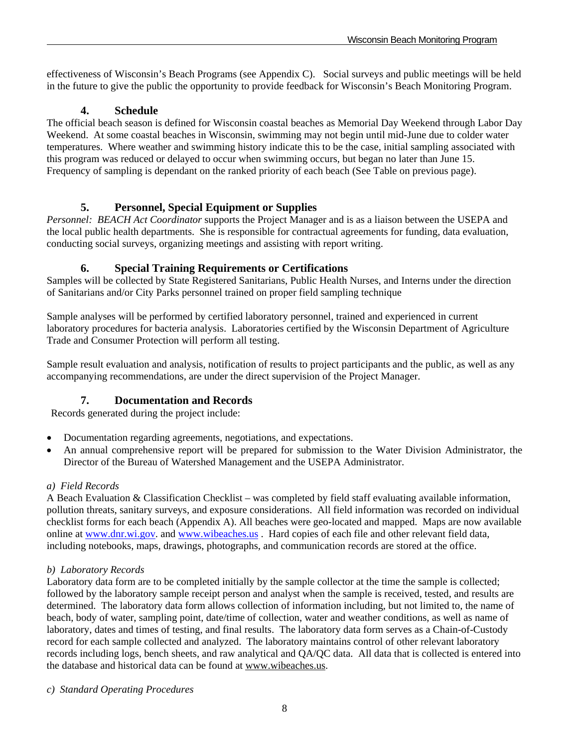effectiveness of Wisconsin's Beach Programs (see Appendix C). Social surveys and public meetings will be held in the future to give the public the opportunity to provide feedback for Wisconsin's Beach Monitoring Program.

# **4. Schedule**

The official beach season is defined for Wisconsin coastal beaches as Memorial Day Weekend through Labor Day Weekend. At some coastal beaches in Wisconsin, swimming may not begin until mid-June due to colder water temperatures. Where weather and swimming history indicate this to be the case, initial sampling associated with this program was reduced or delayed to occur when swimming occurs, but began no later than June 15. Frequency of sampling is dependant on the ranked priority of each beach (See Table on previous page).

# **5. Personnel, Special Equipment or Supplies**

*Personnel: BEACH Act Coordinator* supports the Project Manager and is as a liaison between the USEPA and the local public health departments. She is responsible for contractual agreements for funding, data evaluation, conducting social surveys, organizing meetings and assisting with report writing.

# **6. Special Training Requirements or Certifications**

Samples will be collected by State Registered Sanitarians, Public Health Nurses, and Interns under the direction of Sanitarians and/or City Parks personnel trained on proper field sampling technique

Sample analyses will be performed by certified laboratory personnel, trained and experienced in current laboratory procedures for bacteria analysis. Laboratories certified by the Wisconsin Department of Agriculture Trade and Consumer Protection will perform all testing.

Sample result evaluation and analysis, notification of results to project participants and the public, as well as any accompanying recommendations, are under the direct supervision of the Project Manager.

# **7. Documentation and Records**

Records generated during the project include:

- Documentation regarding agreements, negotiations, and expectations.
- An annual comprehensive report will be prepared for submission to the Water Division Administrator, the Director of the Bureau of Watershed Management and the USEPA Administrator.

# *a) Field Records*

A Beach Evaluation & Classification Checklist – was completed by field staff evaluating available information, pollution threats, sanitary surveys, and exposure considerations. All field information was recorded on individual checklist forms for each beach (Appendix A). All beaches were geo-located and mapped. Maps are now available online at www.dnr.wi.gov. and www.wibeaches.us. Hard copies of each file and other relevant field data, including notebooks, maps, drawings, photographs, and communication records are stored at the office.

## *b) Laboratory Records*

Laboratory data form are to be completed initially by the sample collector at the time the sample is collected; followed by the laboratory sample receipt person and analyst when the sample is received, tested, and results are determined. The laboratory data form allows collection of information including, but not limited to, the name of beach, body of water, sampling point, date/time of collection, water and weather conditions, as well as name of laboratory, dates and times of testing, and final results. The laboratory data form serves as a Chain-of-Custody record for each sample collected and analyzed. The laboratory maintains control of other relevant laboratory records including logs, bench sheets, and raw analytical and QA/QC data. All data that is collected is entered into the database and historical data can be found at www.wibeaches.us.

#### *c) Standard Operating Procedures*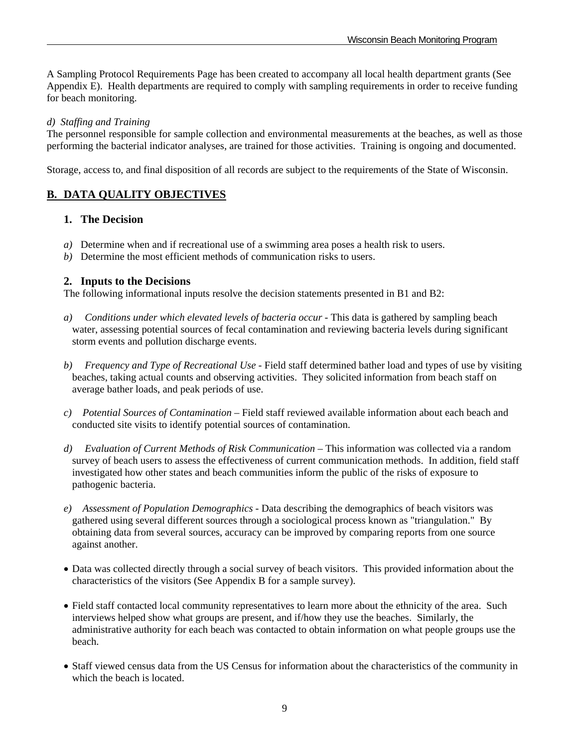A Sampling Protocol Requirements Page has been created to accompany all local health department grants (See Appendix E). Health departments are required to comply with sampling requirements in order to receive funding for beach monitoring.

#### *d) Staffing and Training*

The personnel responsible for sample collection and environmental measurements at the beaches, as well as those performing the bacterial indicator analyses, are trained for those activities. Training is ongoing and documented.

Storage, access to, and final disposition of all records are subject to the requirements of the State of Wisconsin.

# **B. DATA QUALITY OBJECTIVES**

## **1. The Decision**

- *a)* Determine when and if recreational use of a swimming area poses a health risk to users.
- *b)* Determine the most efficient methods of communication risks to users.

## **2. Inputs to the Decisions**

The following informational inputs resolve the decision statements presented in B1 and B2:

- *a) Conditions under which elevated levels of bacteria occur* This data is gathered by sampling beach water, assessing potential sources of fecal contamination and reviewing bacteria levels during significant storm events and pollution discharge events.
- *b) Frequency and Type of Recreational Use*  Field staff determined bather load and types of use by visiting beaches, taking actual counts and observing activities. They solicited information from beach staff on average bather loads, and peak periods of use.
- *c) Potential Sources of Contamination* Field staff reviewed available information about each beach and conducted site visits to identify potential sources of contamination.
- *d) Evaluation of Current Methods of Risk Communication* This information was collected via a random survey of beach users to assess the effectiveness of current communication methods. In addition, field staff investigated how other states and beach communities inform the public of the risks of exposure to pathogenic bacteria.
- *e) Assessment of Population Demographics* Data describing the demographics of beach visitors was gathered using several different sources through a sociological process known as "triangulation." By obtaining data from several sources, accuracy can be improved by comparing reports from one source against another.
- Data was collected directly through a social survey of beach visitors. This provided information about the characteristics of the visitors (See Appendix B for a sample survey).
- Field staff contacted local community representatives to learn more about the ethnicity of the area. Such interviews helped show what groups are present, and if/how they use the beaches. Similarly, the administrative authority for each beach was contacted to obtain information on what people groups use the beach.
- Staff viewed census data from the US Census for information about the characteristics of the community in which the beach is located.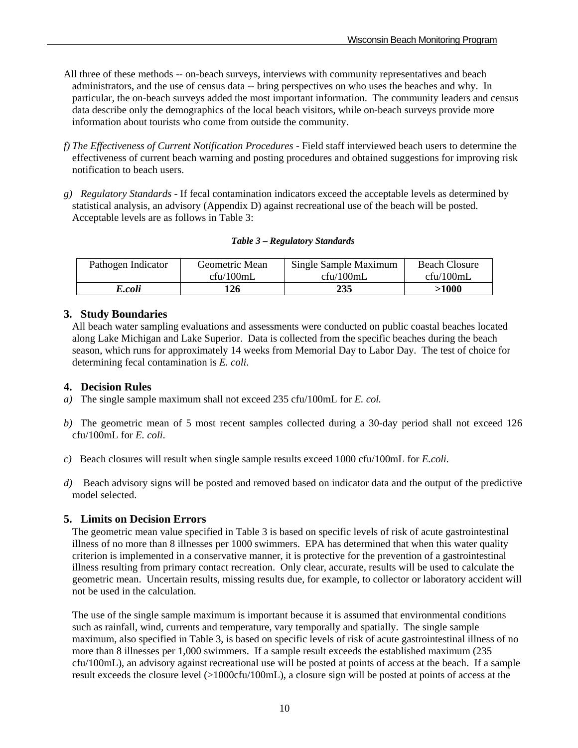- All three of these methods -- on-beach surveys, interviews with community representatives and beach administrators, and the use of census data -- bring perspectives on who uses the beaches and why. In particular, the on-beach surveys added the most important information. The community leaders and census data describe only the demographics of the local beach visitors, while on-beach surveys provide more information about tourists who come from outside the community.
- *f) The Effectiveness of Current Notification Procedures Field staff interviewed beach users to determine the* effectiveness of current beach warning and posting procedures and obtained suggestions for improving risk notification to beach users.
- *g) Regulatory Standards* If fecal contamination indicators exceed the acceptable levels as determined by statistical analysis, an advisory (Appendix D) against recreational use of the beach will be posted. Acceptable levels are as follows in Table 3:

| Table 3 – Regulatory Standards |  |
|--------------------------------|--|
|--------------------------------|--|

| Pathogen Indicator | Geometric Mean | Single Sample Maximum | <b>Beach Closure</b> |
|--------------------|----------------|-----------------------|----------------------|
|                    | cfu/100mL      | cfu/100mL             | $c$ fu/100mL         |
| E.coli             | 126            | 235                   | >1000                |

# **3. Study Boundaries**

 All beach water sampling evaluations and assessments were conducted on public coastal beaches located along Lake Michigan and Lake Superior. Data is collected from the specific beaches during the beach season, which runs for approximately 14 weeks from Memorial Day to Labor Day. The test of choice for determining fecal contamination is *E. coli*.

# **4. Decision Rules**

- *a)* The single sample maximum shall not exceed 235 cfu/100mL for *E. col.*
- *b)* The geometric mean of 5 most recent samples collected during a 30-day period shall not exceed 126 cfu/100mL for *E. coli*.
- *c)* Beach closures will result when single sample results exceed 1000 cfu/100mL for *E.coli.*
- *d)* Beach advisory signs will be posted and removed based on indicator data and the output of the predictive model selected.

## **5. Limits on Decision Errors**

 The geometric mean value specified in Table 3 is based on specific levels of risk of acute gastrointestinal illness of no more than 8 illnesses per 1000 swimmers. EPA has determined that when this water quality criterion is implemented in a conservative manner, it is protective for the prevention of a gastrointestinal illness resulting from primary contact recreation. Only clear, accurate, results will be used to calculate the geometric mean. Uncertain results, missing results due, for example, to collector or laboratory accident will not be used in the calculation.

The use of the single sample maximum is important because it is assumed that environmental conditions such as rainfall, wind, currents and temperature, vary temporally and spatially. The single sample maximum, also specified in Table 3, is based on specific levels of risk of acute gastrointestinal illness of no more than 8 illnesses per 1,000 swimmers. If a sample result exceeds the established maximum (235 cfu/100mL), an advisory against recreational use will be posted at points of access at the beach. If a sample result exceeds the closure level (>1000cfu/100mL), a closure sign will be posted at points of access at the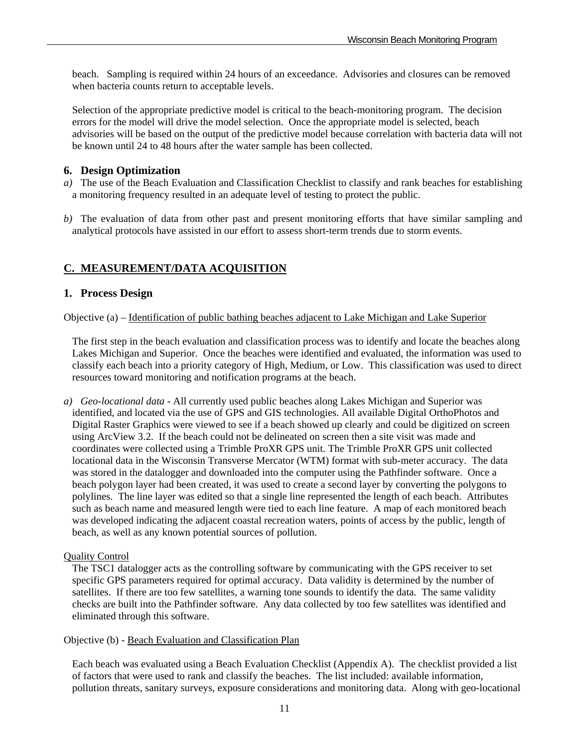beach. Sampling is required within 24 hours of an exceedance. Advisories and closures can be removed when bacteria counts return to acceptable levels.

Selection of the appropriate predictive model is critical to the beach-monitoring program. The decision errors for the model will drive the model selection. Once the appropriate model is selected, beach advisories will be based on the output of the predictive model because correlation with bacteria data will not be known until 24 to 48 hours after the water sample has been collected.

## **6. Design Optimization**

- *a)* The use of the Beach Evaluation and Classification Checklist to classify and rank beaches for establishing a monitoring frequency resulted in an adequate level of testing to protect the public.
- *b)* The evaluation of data from other past and present monitoring efforts that have similar sampling and analytical protocols have assisted in our effort to assess short-term trends due to storm events.

# **C. MEASUREMENT/DATA ACQUISITION**

# **1. Process Design**

Objective (a) – Identification of public bathing beaches adjacent to Lake Michigan and Lake Superior

 The first step in the beach evaluation and classification process was to identify and locate the beaches along Lakes Michigan and Superior. Once the beaches were identified and evaluated, the information was used to classify each beach into a priority category of High, Medium, or Low. This classification was used to direct resources toward monitoring and notification programs at the beach.

*a) Geo-locational data* - All currently used public beaches along Lakes Michigan and Superior was identified, and located via the use of GPS and GIS technologies. All available Digital OrthoPhotos and Digital Raster Graphics were viewed to see if a beach showed up clearly and could be digitized on screen using ArcView 3.2. If the beach could not be delineated on screen then a site visit was made and coordinates were collected using a Trimble ProXR GPS unit. The Trimble ProXR GPS unit collected locational data in the Wisconsin Transverse Mercator (WTM) format with sub-meter accuracy. The data was stored in the datalogger and downloaded into the computer using the Pathfinder software. Once a beach polygon layer had been created, it was used to create a second layer by converting the polygons to polylines. The line layer was edited so that a single line represented the length of each beach. Attributes such as beach name and measured length were tied to each line feature. A map of each monitored beach was developed indicating the adjacent coastal recreation waters, points of access by the public, length of beach, as well as any known potential sources of pollution.

## Quality Control

 The TSC1 datalogger acts as the controlling software by communicating with the GPS receiver to set specific GPS parameters required for optimal accuracy. Data validity is determined by the number of satellites. If there are too few satellites, a warning tone sounds to identify the data. The same validity checks are built into the Pathfinder software. Any data collected by too few satellites was identified and eliminated through this software.

#### Objective (b) - Beach Evaluation and Classification Plan

 Each beach was evaluated using a Beach Evaluation Checklist (Appendix A). The checklist provided a list of factors that were used to rank and classify the beaches. The list included: available information, pollution threats, sanitary surveys, exposure considerations and monitoring data. Along with geo-locational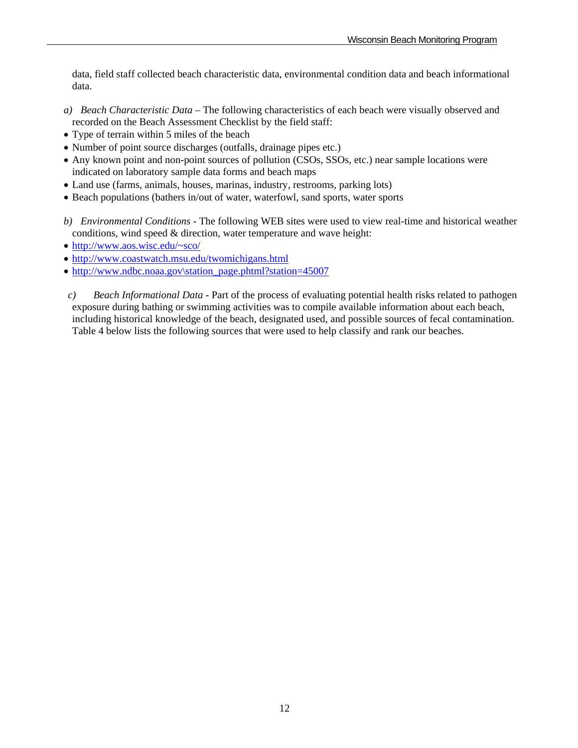data, field staff collected beach characteristic data, environmental condition data and beach informational data.

- *a) Beach Characteristic Data* The following characteristics of each beach were visually observed and recorded on the Beach Assessment Checklist by the field staff:
- Type of terrain within 5 miles of the beach
- Number of point source discharges (outfalls, drainage pipes etc.)
- Any known point and non-point sources of pollution (CSOs, SSOs, etc.) near sample locations were indicated on laboratory sample data forms and beach maps
- Land use (farms, animals, houses, marinas, industry, restrooms, parking lots)
- Beach populations (bathers in/out of water, waterfowl, sand sports, water sports
- *b) Environmental Conditions* The following WEB sites were used to view real-time and historical weather conditions, wind speed & direction, water temperature and wave height:
- http://www.aos.wisc.edu/~sco/
- http://www.coastwatch.msu.edu/twomichigans.html
- http://www.ndbc.noaa.gov\station\_page.phtml?station=45007
- *c) Beach Informational Data* Part of the process of evaluating potential health risks related to pathogen exposure during bathing or swimming activities was to compile available information about each beach, including historical knowledge of the beach, designated used, and possible sources of fecal contamination. Table 4 below lists the following sources that were used to help classify and rank our beaches.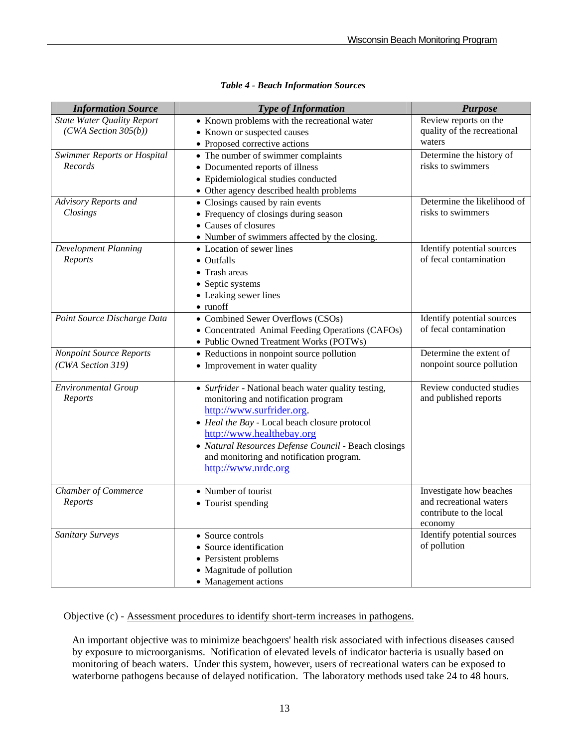| <b>Information Source</b>         | <b>Type of Information</b>                                        | <b>Purpose</b><br>Review reports on the |
|-----------------------------------|-------------------------------------------------------------------|-----------------------------------------|
| <b>State Water Quality Report</b> | • Known problems with the recreational water                      |                                         |
| (CWA Section 305(b))              | • Known or suspected causes                                       |                                         |
|                                   | • Proposed corrective actions                                     | waters<br>Determine the history of      |
|                                   | Swimmer Reports or Hospital<br>• The number of swimmer complaints |                                         |
| Records                           | • Documented reports of illness                                   | risks to swimmers                       |
|                                   | • Epidemiological studies conducted                               |                                         |
|                                   | • Other agency described health problems                          |                                         |
| Advisory Reports and              | • Closings caused by rain events                                  | Determine the likelihood of             |
| Closings                          | • Frequency of closings during season                             | risks to swimmers                       |
|                                   | • Causes of closures                                              |                                         |
|                                   | • Number of swimmers affected by the closing.                     |                                         |
| <b>Development Planning</b>       | • Location of sewer lines                                         | Identify potential sources              |
| Reports                           | • Outfalls                                                        | of fecal contamination                  |
|                                   | • Trash areas                                                     |                                         |
|                                   | • Septic systems                                                  |                                         |
|                                   | • Leaking sewer lines                                             |                                         |
|                                   | $\bullet$ runoff                                                  |                                         |
| Point Source Discharge Data       | • Combined Sewer Overflows (CSOs)                                 | Identify potential sources              |
|                                   | • Concentrated Animal Feeding Operations (CAFOs)                  | of fecal contamination                  |
|                                   | • Public Owned Treatment Works (POTWs)                            |                                         |
| <b>Nonpoint Source Reports</b>    | • Reductions in nonpoint source pollution                         | Determine the extent of                 |
| (CWA Section 319)                 | • Improvement in water quality                                    | nonpoint source pollution               |
|                                   |                                                                   |                                         |
| <b>Environmental Group</b>        | • Surfrider - National beach water quality testing,               | Review conducted studies                |
| Reports                           | monitoring and notification program                               | and published reports                   |
|                                   | http://www.surfrider.org.                                         |                                         |
|                                   | • Heal the Bay - Local beach closure protocol                     |                                         |
|                                   | http://www.healthebay.org                                         |                                         |
|                                   | • Natural Resources Defense Council - Beach closings              |                                         |
|                                   | and monitoring and notification program.                          |                                         |
|                                   | http://www.nrdc.org                                               |                                         |
| <b>Chamber of Commerce</b>        | • Number of tourist                                               | Investigate how beaches                 |
| Reports                           | • Tourist spending                                                | and recreational waters                 |
|                                   |                                                                   | contribute to the local                 |
|                                   |                                                                   | economy                                 |
| <b>Sanitary Surveys</b>           | • Source controls                                                 | Identify potential sources              |
|                                   | • Source identification                                           | of pollution                            |
|                                   | • Persistent problems                                             |                                         |
|                                   | • Magnitude of pollution                                          |                                         |
|                                   | • Management actions                                              |                                         |

#### *Table 4 - Beach Information Sources*

Objective (c) - **Assessment procedures to identify short-term increases in pathogens.** 

 An important objective was to minimize beachgoers' health risk associated with infectious diseases caused by exposure to microorganisms. Notification of elevated levels of indicator bacteria is usually based on monitoring of beach waters. Under this system, however, users of recreational waters can be exposed to waterborne pathogens because of delayed notification. The laboratory methods used take 24 to 48 hours.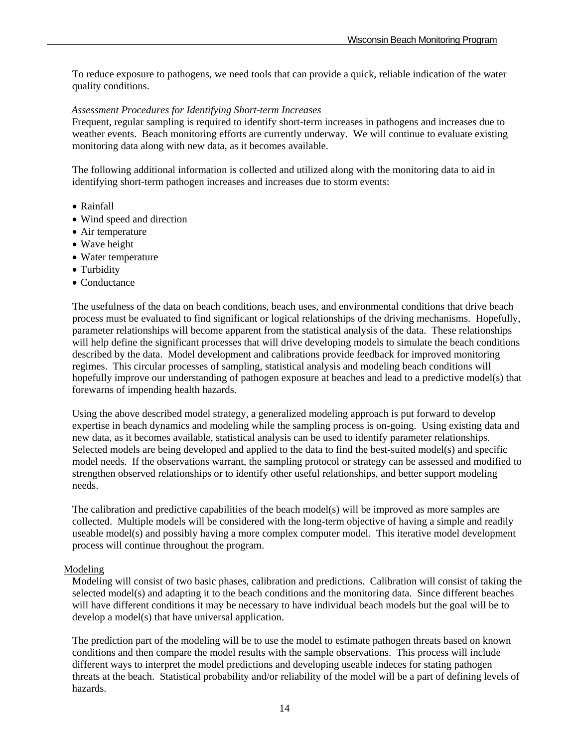To reduce exposure to pathogens, we need tools that can provide a quick, reliable indication of the water quality conditions.

#### *Assessment Procedures for Identifying Short-term Increases*

 Frequent, regular sampling is required to identify short-term increases in pathogens and increases due to weather events. Beach monitoring efforts are currently underway. We will continue to evaluate existing monitoring data along with new data, as it becomes available.

 The following additional information is collected and utilized along with the monitoring data to aid in identifying short-term pathogen increases and increases due to storm events:

- Rainfall
- Wind speed and direction
- Air temperature
- Wave height
- Water temperature
- Turbidity
- Conductance

 The usefulness of the data on beach conditions, beach uses, and environmental conditions that drive beach process must be evaluated to find significant or logical relationships of the driving mechanisms. Hopefully, parameter relationships will become apparent from the statistical analysis of the data. These relationships will help define the significant processes that will drive developing models to simulate the beach conditions described by the data. Model development and calibrations provide feedback for improved monitoring regimes. This circular processes of sampling, statistical analysis and modeling beach conditions will hopefully improve our understanding of pathogen exposure at beaches and lead to a predictive model(s) that forewarns of impending health hazards.

 Using the above described model strategy, a generalized modeling approach is put forward to develop expertise in beach dynamics and modeling while the sampling process is on-going. Using existing data and new data, as it becomes available, statistical analysis can be used to identify parameter relationships. Selected models are being developed and applied to the data to find the best-suited model(s) and specific model needs. If the observations warrant, the sampling protocol or strategy can be assessed and modified to strengthen observed relationships or to identify other useful relationships, and better support modeling needs.

 The calibration and predictive capabilities of the beach model(s) will be improved as more samples are collected. Multiple models will be considered with the long-term objective of having a simple and readily useable model(s) and possibly having a more complex computer model. This iterative model development process will continue throughout the program.

#### Modeling

 Modeling will consist of two basic phases, calibration and predictions. Calibration will consist of taking the selected model(s) and adapting it to the beach conditions and the monitoring data. Since different beaches will have different conditions it may be necessary to have individual beach models but the goal will be to develop a model(s) that have universal application.

 The prediction part of the modeling will be to use the model to estimate pathogen threats based on known conditions and then compare the model results with the sample observations. This process will include different ways to interpret the model predictions and developing useable indeces for stating pathogen threats at the beach. Statistical probability and/or reliability of the model will be a part of defining levels of hazards.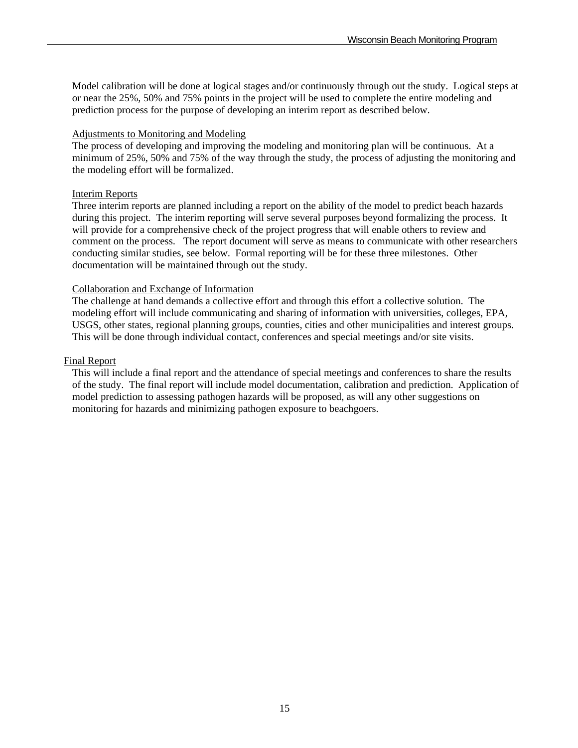Model calibration will be done at logical stages and/or continuously through out the study. Logical steps at or near the 25%, 50% and 75% points in the project will be used to complete the entire modeling and prediction process for the purpose of developing an interim report as described below.

#### Adjustments to Monitoring and Modeling

 The process of developing and improving the modeling and monitoring plan will be continuous. At a minimum of 25%, 50% and 75% of the way through the study, the process of adjusting the monitoring and the modeling effort will be formalized.

## Interim Reports

 Three interim reports are planned including a report on the ability of the model to predict beach hazards during this project. The interim reporting will serve several purposes beyond formalizing the process. It will provide for a comprehensive check of the project progress that will enable others to review and comment on the process. The report document will serve as means to communicate with other researchers conducting similar studies, see below. Formal reporting will be for these three milestones. Other documentation will be maintained through out the study.

## Collaboration and Exchange of Information

 The challenge at hand demands a collective effort and through this effort a collective solution. The modeling effort will include communicating and sharing of information with universities, colleges, EPA, USGS, other states, regional planning groups, counties, cities and other municipalities and interest groups. This will be done through individual contact, conferences and special meetings and/or site visits.

## Final Report

 This will include a final report and the attendance of special meetings and conferences to share the results of the study. The final report will include model documentation, calibration and prediction. Application of model prediction to assessing pathogen hazards will be proposed, as will any other suggestions on monitoring for hazards and minimizing pathogen exposure to beachgoers.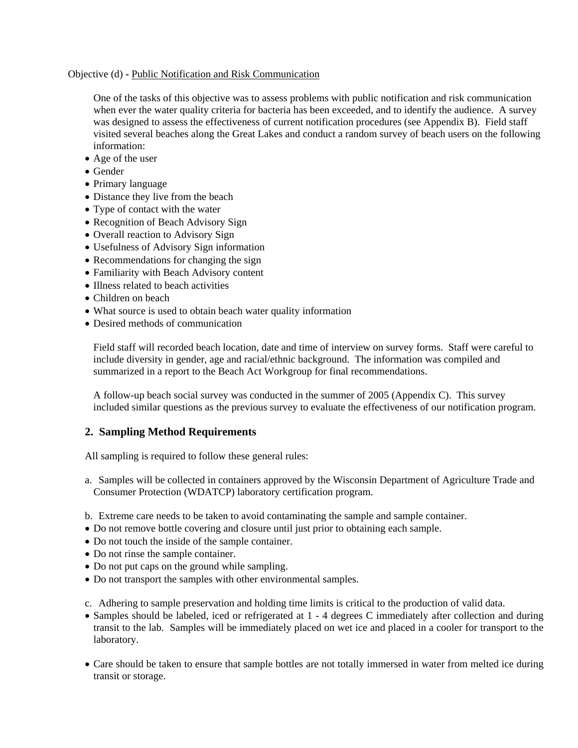#### Objective (d) **-** Public Notification and Risk Communication

 One of the tasks of this objective was to assess problems with public notification and risk communication when ever the water quality criteria for bacteria has been exceeded, and to identify the audience. A survey was designed to assess the effectiveness of current notification procedures (see Appendix B). Field staff visited several beaches along the Great Lakes and conduct a random survey of beach users on the following information:

- Age of the user
- Gender
- Primary language
- Distance they live from the beach
- Type of contact with the water
- Recognition of Beach Advisory Sign
- Overall reaction to Advisory Sign
- Usefulness of Advisory Sign information
- Recommendations for changing the sign
- Familiarity with Beach Advisory content
- Illness related to beach activities
- Children on beach
- What source is used to obtain beach water quality information
- Desired methods of communication

 Field staff will recorded beach location, date and time of interview on survey forms. Staff were careful to include diversity in gender, age and racial/ethnic background. The information was compiled and summarized in a report to the Beach Act Workgroup for final recommendations.

 A follow-up beach social survey was conducted in the summer of 2005 (Appendix C). This survey included similar questions as the previous survey to evaluate the effectiveness of our notification program.

## **2. Sampling Method Requirements**

All sampling is required to follow these general rules:

- a. Samples will be collected in containers approved by the Wisconsin Department of Agriculture Trade and Consumer Protection (WDATCP) laboratory certification program.
- b. Extreme care needs to be taken to avoid contaminating the sample and sample container.
- Do not remove bottle covering and closure until just prior to obtaining each sample.
- Do not touch the inside of the sample container.
- Do not rinse the sample container.
- Do not put caps on the ground while sampling.
- Do not transport the samples with other environmental samples.

c. Adhering to sample preservation and holding time limits is critical to the production of valid data.

- Samples should be labeled, iced or refrigerated at 1 4 degrees C immediately after collection and during transit to the lab. Samples will be immediately placed on wet ice and placed in a cooler for transport to the laboratory.
- Care should be taken to ensure that sample bottles are not totally immersed in water from melted ice during transit or storage.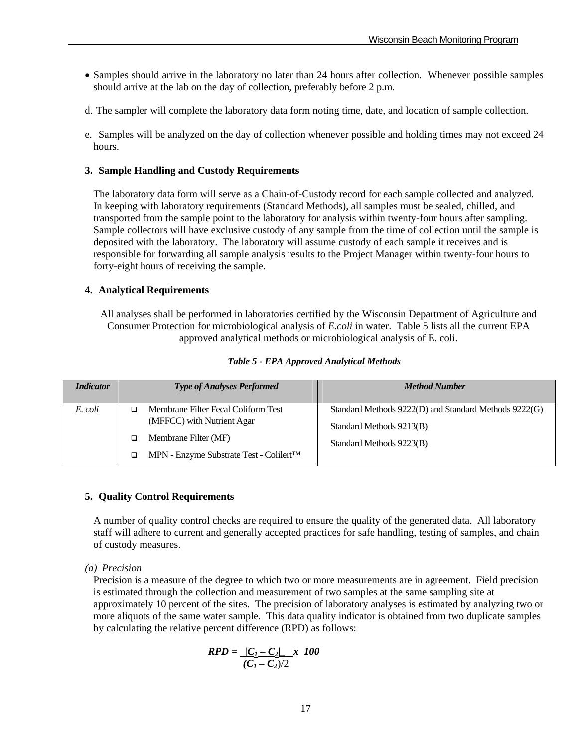- Samples should arrive in the laboratory no later than 24 hours after collection. Whenever possible samples should arrive at the lab on the day of collection, preferably before 2 p.m.
- d. The sampler will complete the laboratory data form noting time, date, and location of sample collection.
- e. Samples will be analyzed on the day of collection whenever possible and holding times may not exceed 24 hours.

#### **3. Sample Handling and Custody Requirements**

 The laboratory data form will serve as a Chain-of-Custody record for each sample collected and analyzed. In keeping with laboratory requirements (Standard Methods), all samples must be sealed, chilled, and transported from the sample point to the laboratory for analysis within twenty-four hours after sampling. Sample collectors will have exclusive custody of any sample from the time of collection until the sample is deposited with the laboratory. The laboratory will assume custody of each sample it receives and is responsible for forwarding all sample analysis results to the Project Manager within twenty-four hours to forty-eight hours of receiving the sample.

## **4. Analytical Requirements**

 All analyses shall be performed in laboratories certified by the Wisconsin Department of Agriculture and Consumer Protection for microbiological analysis of *E.coli* in water. Table 5 lists all the current EPA approved analytical methods or microbiological analysis of E. coli.

| <i>Indicator</i> | <b>Type of Analyses Performed</b>                                                                                                                                | <b>Method Number</b>                                                                                          |
|------------------|------------------------------------------------------------------------------------------------------------------------------------------------------------------|---------------------------------------------------------------------------------------------------------------|
| E. coli          | Membrane Filter Fecal Coliform Test<br>(MFFCC) with Nutrient Agar<br>Membrane Filter (MF)<br>$\Box$<br>MPN - Enzyme Substrate Test - Colilert <sup>TM</sup><br>▫ | Standard Methods 9222(D) and Standard Methods 9222(G)<br>Standard Methods 9213(B)<br>Standard Methods 9223(B) |

#### *Table 5 - EPA Approved Analytical Methods*

## **5. Quality Control Requirements**

 A number of quality control checks are required to ensure the quality of the generated data. All laboratory staff will adhere to current and generally accepted practices for safe handling, testing of samples, and chain of custody measures.

*(a) Precision*

 Precision is a measure of the degree to which two or more measurements are in agreement. Field precision is estimated through the collection and measurement of two samples at the same sampling site at approximately 10 percent of the sites. The precision of laboratory analyses is estimated by analyzing two or more aliquots of the same water sample. This data quality indicator is obtained from two duplicate samples by calculating the relative percent difference (RPD) as follows:

$$
RPD = \frac{|C_1 - C_2|}{(C_1 - C_2)/2} \cdot 100
$$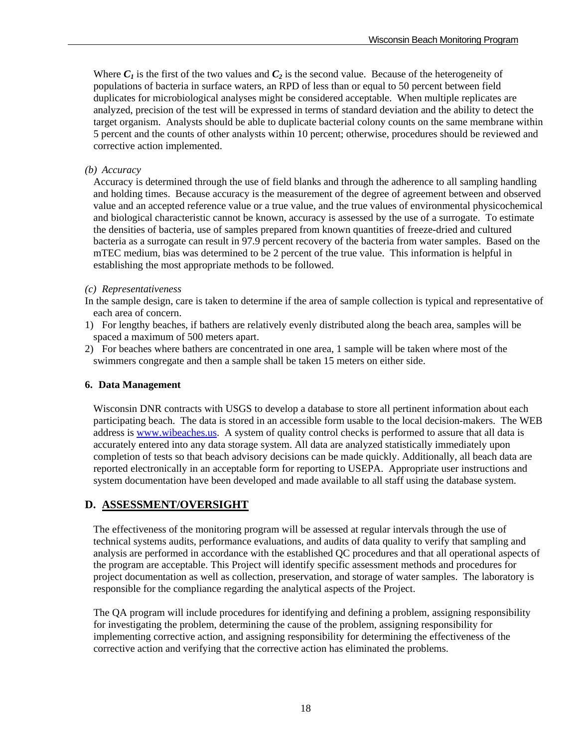Where  $C_1$  is the first of the two values and  $C_2$  is the second value. Because of the heterogeneity of populations of bacteria in surface waters, an RPD of less than or equal to 50 percent between field duplicates for microbiological analyses might be considered acceptable. When multiple replicates are analyzed, precision of the test will be expressed in terms of standard deviation and the ability to detect the target organism. Analysts should be able to duplicate bacterial colony counts on the same membrane within 5 percent and the counts of other analysts within 10 percent; otherwise, procedures should be reviewed and corrective action implemented.

#### *(b) Accuracy*

 Accuracy is determined through the use of field blanks and through the adherence to all sampling handling and holding times. Because accuracy is the measurement of the degree of agreement between and observed value and an accepted reference value or a true value, and the true values of environmental physicochemical and biological characteristic cannot be known, accuracy is assessed by the use of a surrogate. To estimate the densities of bacteria, use of samples prepared from known quantities of freeze-dried and cultured bacteria as a surrogate can result in 97.9 percent recovery of the bacteria from water samples. Based on the mTEC medium, bias was determined to be 2 percent of the true value. This information is helpful in establishing the most appropriate methods to be followed.

## *(c) Representativeness*

In the sample design, care is taken to determine if the area of sample collection is typical and representative of each area of concern.

- 1) For lengthy beaches, if bathers are relatively evenly distributed along the beach area, samples will be spaced a maximum of 500 meters apart.
- 2) For beaches where bathers are concentrated in one area, 1 sample will be taken where most of the swimmers congregate and then a sample shall be taken 15 meters on either side.

#### **6. Data Management**

Wisconsin DNR contracts with USGS to develop a database to store all pertinent information about each participating beach. The data is stored in an accessible form usable to the local decision-makers. The WEB address is www.wibeaches.us. A system of quality control checks is performed to assure that all data is accurately entered into any data storage system. All data are analyzed statistically immediately upon completion of tests so that beach advisory decisions can be made quickly. Additionally, all beach data are reported electronically in an acceptable form for reporting to USEPA. Appropriate user instructions and system documentation have been developed and made available to all staff using the database system.

## **D. ASSESSMENT/OVERSIGHT**

 The effectiveness of the monitoring program will be assessed at regular intervals through the use of technical systems audits, performance evaluations, and audits of data quality to verify that sampling and analysis are performed in accordance with the established QC procedures and that all operational aspects of the program are acceptable. This Project will identify specific assessment methods and procedures for project documentation as well as collection, preservation, and storage of water samples. The laboratory is responsible for the compliance regarding the analytical aspects of the Project.

 The QA program will include procedures for identifying and defining a problem, assigning responsibility for investigating the problem, determining the cause of the problem, assigning responsibility for implementing corrective action, and assigning responsibility for determining the effectiveness of the corrective action and verifying that the corrective action has eliminated the problems.